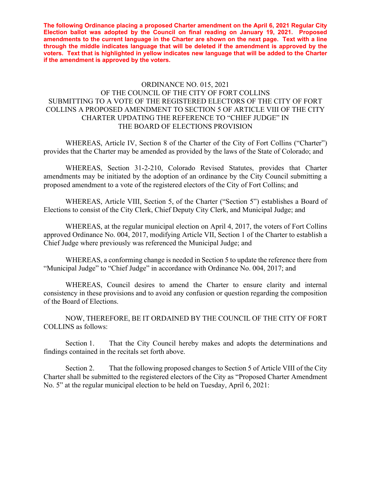**The following Ordinance placing a proposed Charter amendment on the April 6, 2021 Regular City Election ballot was adopted by the Council on final reading on January 19, 2021. Proposed amendments to the current language in the Charter are shown on the next page. Text with a line through the middle indicates language that will be deleted if the amendment is approved by the voters. Text that is highlighted in yellow indicates new language that will be added to the Charter if the amendment is approved by the voters.** 

## ORDINANCE NO. 015, 2021 OF THE COUNCIL OF THE CITY OF FORT COLLINS SUBMITTING TO A VOTE OF THE REGISTERED ELECTORS OF THE CITY OF FORT COLLINS A PROPOSED AMENDMENT TO SECTION 5 OF ARTICLE VIII OF THE CITY CHARTER UPDATING THE REFERENCE TO "CHIEF JUDGE" IN THE BOARD OF ELECTIONS PROVISION

 WHEREAS, Article IV, Section 8 of the Charter of the City of Fort Collins ("Charter") provides that the Charter may be amended as provided by the laws of the State of Colorado; and

 WHEREAS, Section 31-2-210, Colorado Revised Statutes, provides that Charter amendments may be initiated by the adoption of an ordinance by the City Council submitting a proposed amendment to a vote of the registered electors of the City of Fort Collins; and

 WHEREAS, Article VIII, Section 5, of the Charter ("Section 5") establishes a Board of Elections to consist of the City Clerk, Chief Deputy City Clerk, and Municipal Judge; and

WHEREAS, at the regular municipal election on April 4, 2017, the voters of Fort Collins approved Ordinance No. 004, 2017, modifying Article VII, Section 1 of the Charter to establish a Chief Judge where previously was referenced the Municipal Judge; and

WHEREAS, a conforming change is needed in Section 5 to update the reference there from "Municipal Judge" to "Chief Judge" in accordance with Ordinance No. 004, 2017; and

WHEREAS, Council desires to amend the Charter to ensure clarity and internal consistency in these provisions and to avoid any confusion or question regarding the composition of the Board of Elections.

 NOW, THEREFORE, BE IT ORDAINED BY THE COUNCIL OF THE CITY OF FORT COLLINS as follows:

 Section 1. That the City Council hereby makes and adopts the determinations and findings contained in the recitals set forth above.

Section 2. That the following proposed changes to Section 5 of Article VIII of the City Charter shall be submitted to the registered electors of the City as "Proposed Charter Amendment No. 5" at the regular municipal election to be held on Tuesday, April 6, 2021: